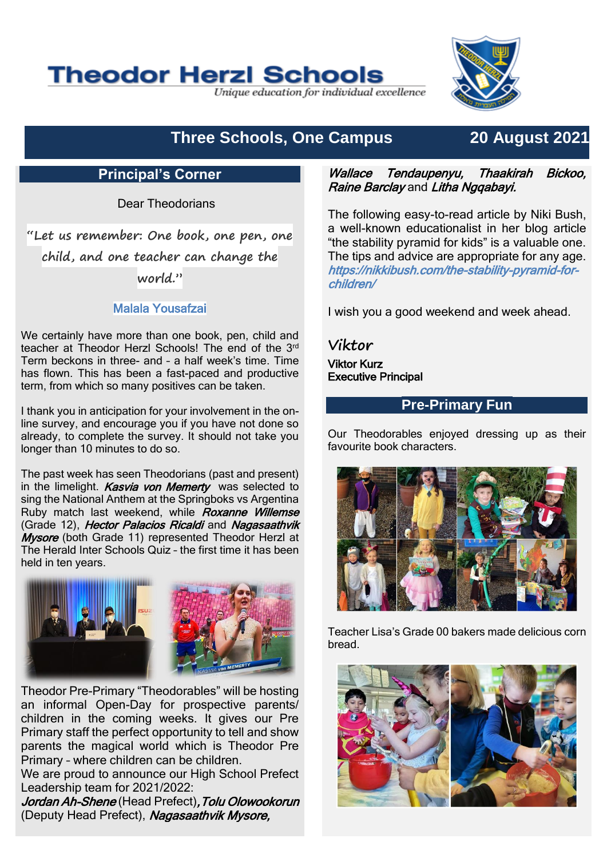# **Theodor Herzl Schools**

Unique education for individual excellence



# **Three Schools, One Campus 20 August 2021**

### **Principal's Corner**

Dear Theodorians

**"Let us remember: One book, one pen, one child, and one teacher can change the world."**

#### Malala Yousafzai

We certainly have more than one book, pen, child and teacher at Theodor Herzl Schools! The end of the 3rd Term beckons in three- and – a half week's time. Time has flown. This has been a fast-paced and productive term, from which so many positives can be taken.

I thank you in anticipation for your involvement in the online survey, and encourage you if you have not done so already, to complete the survey. It should not take you longer than 10 minutes to do so.

The past week has seen Theodorians (past and present) in the limelight. Kasvia von Memerty was selected to sing the National Anthem at the Springboks vs Argentina Ruby match last weekend, while Roxanne Willemse (Grade 12), Hector Palacios Ricaldi and Nagasaathvik **Mysore** (both Grade 11) represented Theodor Herzl at The Herald Inter Schools Quiz – the first time it has been held in ten years.



Theodor Pre-Primary "Theodorables" will be hosting an informal Open-Day for prospective parents/ children in the coming weeks. It gives our Pre Primary staff the perfect opportunity to tell and show parents the magical world which is Theodor Pre Primary – where children can be children.

We are proud to announce our High School Prefect Leadership team for 2021/2022:

Jordan Ah-Shene (Head Prefect), Tolu Olowookorun (Deputy Head Prefect), Nagasaathvik Mysore,

#### Wallace Tendaupenyu, Thaakirah Bickoo, **Raine Barclay and Litha Nggabayi.**

The following easy-to-read article by Niki Bush, a well-known educationalist in her blog article "the stability pyramid for kids" is a valuable one. The tips and advice are appropriate for any age. https://nikkibush.com/the-stability-pyramid-forchildren/

I wish you a good weekend and week ahead.

**Viktor**

Viktor Kurz Executive Principal

#### **Pre-Primary Fun**

Our Theodorables enjoyed dressing up as their favourite book characters.



Teacher Lisa's Grade 00 bakers made delicious corn bread.